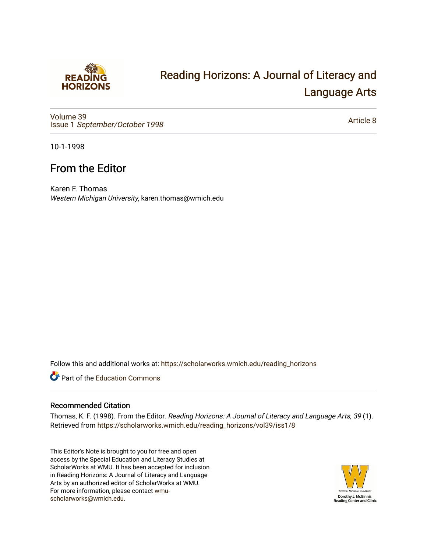

## [Reading Horizons: A Journal of Literacy and](https://scholarworks.wmich.edu/reading_horizons)  [Language Arts](https://scholarworks.wmich.edu/reading_horizons)

[Volume 39](https://scholarworks.wmich.edu/reading_horizons/vol39) Issue 1 [September/October 1998](https://scholarworks.wmich.edu/reading_horizons/vol39/iss1) 

[Article 8](https://scholarworks.wmich.edu/reading_horizons/vol39/iss1/8) 

10-1-1998

## From the Editor

Karen F. Thomas Western Michigan University, karen.thomas@wmich.edu

Follow this and additional works at: [https://scholarworks.wmich.edu/reading\\_horizons](https://scholarworks.wmich.edu/reading_horizons?utm_source=scholarworks.wmich.edu%2Freading_horizons%2Fvol39%2Fiss1%2F8&utm_medium=PDF&utm_campaign=PDFCoverPages)

Part of the [Education Commons](http://network.bepress.com/hgg/discipline/784?utm_source=scholarworks.wmich.edu%2Freading_horizons%2Fvol39%2Fiss1%2F8&utm_medium=PDF&utm_campaign=PDFCoverPages)

## Recommended Citation

Thomas, K. F. (1998). From the Editor. Reading Horizons: A Journal of Literacy and Language Arts, 39 (1). Retrieved from [https://scholarworks.wmich.edu/reading\\_horizons/vol39/iss1/8](https://scholarworks.wmich.edu/reading_horizons/vol39/iss1/8?utm_source=scholarworks.wmich.edu%2Freading_horizons%2Fvol39%2Fiss1%2F8&utm_medium=PDF&utm_campaign=PDFCoverPages) 

This Editor's Note is brought to you for free and open access by the Special Education and Literacy Studies at ScholarWorks at WMU. It has been accepted for inclusion in Reading Horizons: A Journal of Literacy and Language Arts by an authorized editor of ScholarWorks at WMU. For more information, please contact [wmu](mailto:wmu-scholarworks@wmich.edu)[scholarworks@wmich.edu.](mailto:wmu-scholarworks@wmich.edu)

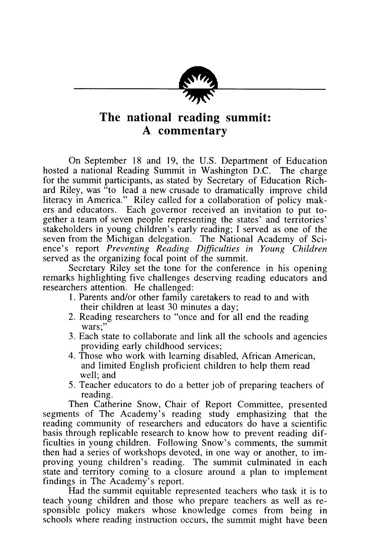

## *The national reading summit: A commentary*

On September 18 and 19, the U.S. Department of Education hosted a national Reading Summit in Washington D.C. The charge for the summit participants, as stated by Secretary of Education Rich ard Riley, was "to lead a new crusade to dramatically improve child literacy in America." Riley called for a collaboration of policy mak ers and educators. Each governor received an invitation to put to gether a team of seven people representing the states' and territories' stakeholders in young children's early reading; I served as one of the seven from the Michigan delegation. The National Academy of Sci ence's report **Preventing Reading Difficulties in Young Children** served as the organizing focal point of the summit.

Secretary Riley set the tone for the conference in his opening remarks highlighting five challenges deserving reading educators and researchers attention. He challenged:

- 1. Parents and/or other family caretakers to read to and with their children at least 30 minutes a day;
- 2. Reading researchers to "once and for all end the reading wars;"
- 3. Each state to collaborate and link all the schools and agencies providing early childhood services;
- 4. Those who work with learning disabled, African American, and limited English proficient children to help them read well; and
- 5. Teacher educators to do a better job of preparing teachers of reading.

Then Catherine Snow, Chair of Report Committee, presented segments of The Academy's reading study emphasizing that the reading community of researchers and educators do have a scientific basis through replicable research to know how to prevent reading dif ficulties in young children. Following Snow's comments, the summit then had a series of workshops devoted, in one way or another, to im proving young children's reading. The summit culminated in each state and territory coming to a closure around a plan to implement findings in The Academy's report.

Had the summit equitable represented teachers who task it is to teach young children and those who prepare teachers as well as re sponsible policy makers whose knowledge comes from being in schools where reading instruction occurs, the summit might have been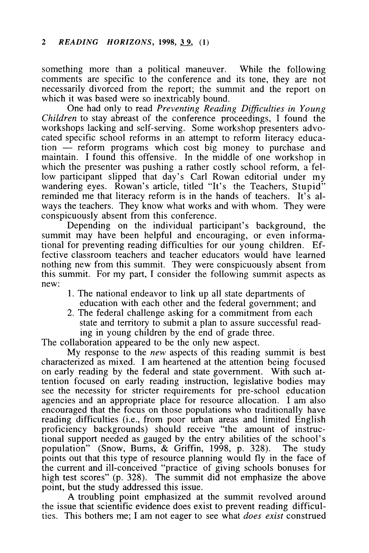something more than a political maneuver. While the following comments are specific to the conference and its tone, they are not necessarily divorced from the report; the summit and the report on which it was based were so inextricably bound.

One had only to read **Preventing Reading Difficulties in Young Children** to stay abreast of the conference proceedings, I found the workshops lacking and self-serving. Some workshop presenters advo cated specific school reforms in an attempt to reform literacy educa tion — reform programs which cost big money to purchase and maintain. I found this offensive. In the middle of one workshop in which the presenter was pushing a rather costly school reform, a fellow participant slipped that day's Carl Rowan editorial under my wandering eyes. Rowan's article, titled "It's the Teachers, Stupid" reminded me that literacy reform is in the hands of teachers. It's always the teachers. They know what works and with whom. They were conspicuously absent from this conference.

Depending on the individual participant's background, the summit may have been helpful and encouraging, or even informational for preventing reading difficulties for our young children. Ef fective classroom teachers and teacher educators would have learned nothing new from this summit. They were conspicuously absent from this summit. For my part, I consider the following summit aspects as new:

- 1. The national endeavor to link up all state departments of education with each other and the federal government; and
- 2. The federal challenge asking for a commitment from each state and territory to submit a plan to assure successful read ing in young children by the end of grade three.

The collaboration appeared to be the only new aspect.

My response to the **new** aspects of this reading summit is best characterized as mixed. I am heartened at the attention being focused on early reading by the federal and state government. With such at tention focused on early reading instruction, legislative bodies may see the necessity for stricter requirements for pre-school education agencies and an appropriate place for resource allocation. I am also encouraged that the focus on those populations who traditionally have reading difficulties (i.e., from poor urban areas and limited English proficiency backgrounds) should receive "the amount of instruc tional support needed as gauged by the entry abilities of the school's population" (Snow, Burns, & Griffin, 1998, p. 328). The study points out that this type of resource planning would fly in the face of the current and ill-conceived "practice of giving schools bonuses for high test scores" (p. 328). The summit did not emphasize the above point, but the study addressed this issue.

A troubling point emphasized at the summit revolved around the issue that scientific evidence does exist to prevent reading difficul ties. This bothers me; I am not eager to see what **does exist** construed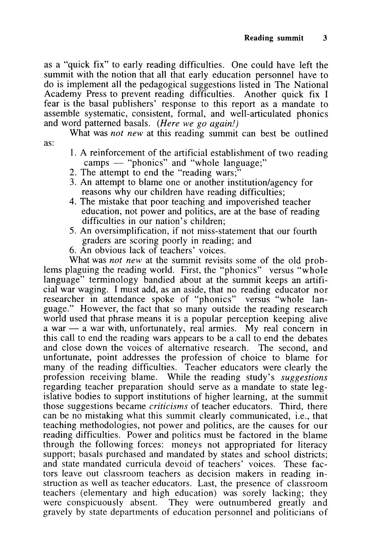as a "quick fix" to early reading difficulties. One could have left the summit with the notion that all that early education personnel have to do is implement all the pedagogical suggestions listed in The National Academy Press to prevent reading difficulties. Another quick fix I fear is the basal publishers' response to this report as a mandate to assemble systematic, consistent, formal, and well-articulated phonics and word patterned basals. **(Here we go again!)**

What was **not new** at this reading summit can best be outlined as:

- 1. A reinforcement of the artificial establishment of two reading camps — "phonics" and "whole language;"
- 2. The attempt to end the "reading wars;"
- 3. An attempt to blame one or another institution/agency for reasons why our children have reading difficulties;
- 4. The mistake that poor teaching and impoverished teacher education, not power and politics, are at the base of reading difficulties in our nation's children;
- 5. An oversimplification, if not miss-statement that our fourth graders are scoring poorly in reading; and
- 6. An obvious lack of teachers' voices.

What was *not new* at the summit revisits some of the old problems plaguing the reading world. First, the "phonics" versus "whole language" terminology bandied about at the summit keeps an artificial war waging. I must add, as an aside, that no reading educator nor researcher in attendance spoke of "phonics" versus "whole lan guage." However, the fact that so many outside the reading research world used that phrase means it is a popular perception keeping alive a war — a war with, unfortunately, real armies. My real concern in this call to end the reading wars appears to be a call to end the debates and close down the voices of alternative research. The second, and unfortunate, point addresses the profession of choice to blame for many of the reading difficulties. Teacher educators were clearly the profession receiving blame. While the reading study's **suggestions** regarding teacher preparation should serve as a mandate to state leg islative bodies to support institutions of higher learning, at the summit those suggestions became **criticisms** of teacher educators. Third, there can be no mistaking what this summit clearly communicated, i.e., that teaching methodologies, not power and politics, are the causes for our reading difficulties. Power and politics must be factored in the blame through the following forces: moneys not appropriated for literacy support; basals purchased and mandated by states and school districts; and state mandated curricula devoid of teachers' voices. These fac tors leave out classroom teachers as decision makers in reading in struction as well as teacher educators. Last, the presence of classroom teachers (elementary and high education) was sorely lacking; they were conspicuously absent. They were outnumbered greatly and gravely by state departments of education personnel and politicians of